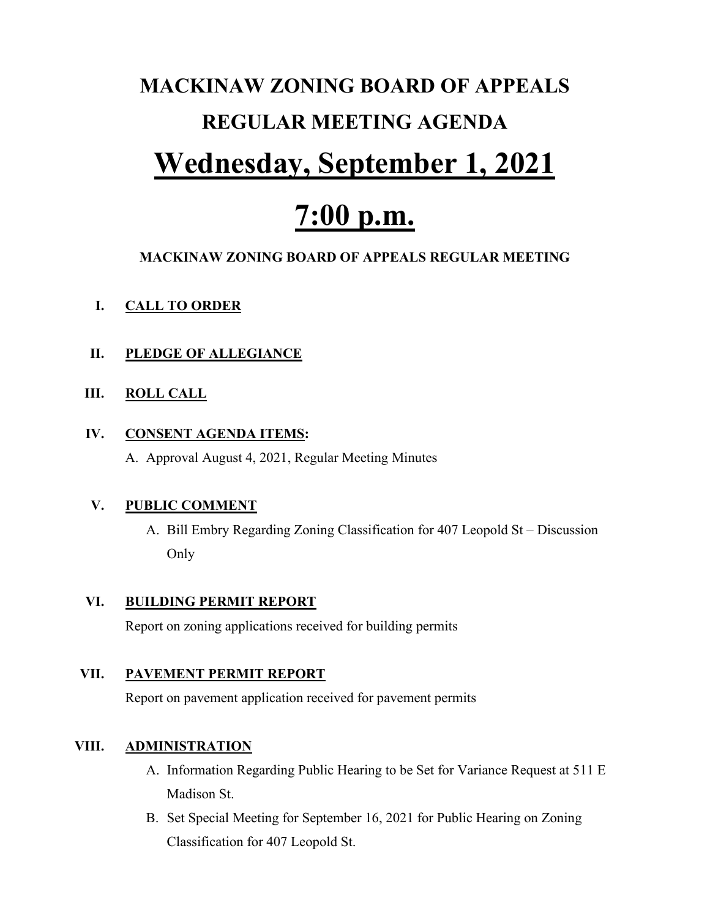# **MACKINAW ZONING BOARD OF APPEALS REGULAR MEETING AGENDA Wednesday, September 1, 2021**

## **7:00 p.m.**

#### **MACKINAW ZONING BOARD OF APPEALS REGULAR MEETING**

#### **I. CALL TO ORDER**

#### **II. PLEDGE OF ALLEGIANCE**

#### **III. ROLL CALL**

#### **IV. CONSENT AGENDA ITEMS:**

A. Approval August 4, 2021, Regular Meeting Minutes

#### **V. PUBLIC COMMENT**

A. Bill Embry Regarding Zoning Classification for 407 Leopold St – Discussion Only

#### **VI. BUILDING PERMIT REPORT**

Report on zoning applications received for building permits

#### **VII. PAVEMENT PERMIT REPORT**

Report on pavement application received for pavement permits

#### **VIII. ADMINISTRATION**

- A. Information Regarding Public Hearing to be Set for Variance Request at 511 E Madison St.
- B. Set Special Meeting for September 16, 2021 for Public Hearing on Zoning Classification for 407 Leopold St.